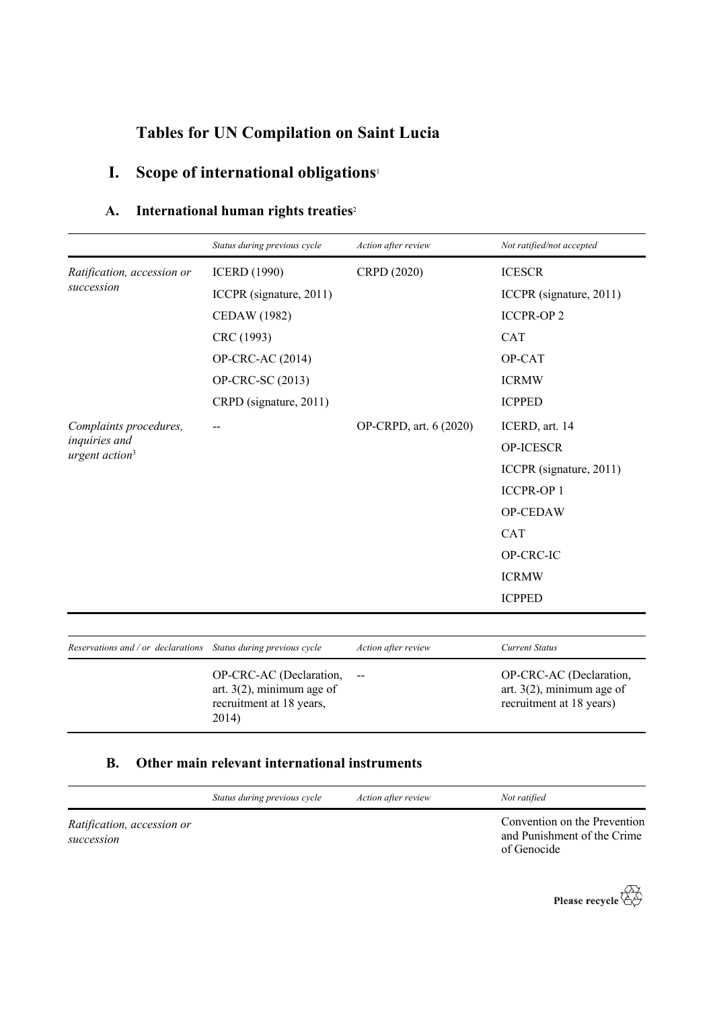# **Tables for UN Compilation on Saint Lucia**

# **I. Scope of international obligations**<sup>1</sup>

## **A. International human rights treaties**<sup>2</sup>

|                                                                  | Status during previous cycle                                                                 | Action after review    | Not ratified/not accepted                                                           |
|------------------------------------------------------------------|----------------------------------------------------------------------------------------------|------------------------|-------------------------------------------------------------------------------------|
| Ratification, accession or<br>succession                         | <b>ICERD</b> (1990)                                                                          | CRPD (2020)            | <b>ICESCR</b>                                                                       |
|                                                                  | ICCPR (signature, 2011)                                                                      |                        | ICCPR (signature, 2011)                                                             |
|                                                                  | <b>CEDAW</b> (1982)                                                                          |                        | <b>ICCPR-OP2</b>                                                                    |
|                                                                  | CRC (1993)                                                                                   |                        | CAT                                                                                 |
|                                                                  | OP-CRC-AC (2014)                                                                             |                        | OP-CAT                                                                              |
|                                                                  | OP-CRC-SC (2013)                                                                             |                        | <b>ICRMW</b>                                                                        |
|                                                                  | CRPD (signature, 2011)                                                                       |                        | <b>ICPPED</b>                                                                       |
| Complaints procedures,                                           | --                                                                                           | OP-CRPD, art. 6 (2020) | ICERD, art. 14                                                                      |
| inquiries and<br>urgent action <sup>3</sup>                      |                                                                                              |                        | <b>OP-ICESCR</b>                                                                    |
|                                                                  |                                                                                              |                        | ICCPR (signature, 2011)                                                             |
|                                                                  |                                                                                              |                        | <b>ICCPR-OP1</b>                                                                    |
|                                                                  |                                                                                              |                        | OP-CEDAW                                                                            |
|                                                                  |                                                                                              |                        | <b>CAT</b>                                                                          |
|                                                                  |                                                                                              |                        | OP-CRC-IC                                                                           |
|                                                                  |                                                                                              |                        | <b>ICRMW</b>                                                                        |
|                                                                  |                                                                                              |                        | <b>ICPPED</b>                                                                       |
|                                                                  |                                                                                              |                        |                                                                                     |
| Reservations and / or declarations  Status during previous cycle |                                                                                              | Action after review    | <b>Current Status</b>                                                               |
|                                                                  | OP-CRC-AC (Declaration,<br>art. $3(2)$ , minimum age of<br>recruitment at 18 years,<br>2014) | $-$                    | OP-CRC-AC (Declaration,<br>art. $3(2)$ , minimum age of<br>recruitment at 18 years) |

### **B. Other main relevant international instruments**

|                                          | Status during previous cycle | Action after review | Not ratified                                                               |
|------------------------------------------|------------------------------|---------------------|----------------------------------------------------------------------------|
| Ratification, accession or<br>succession |                              |                     | Convention on the Prevention<br>and Punishment of the Crime<br>of Genocide |

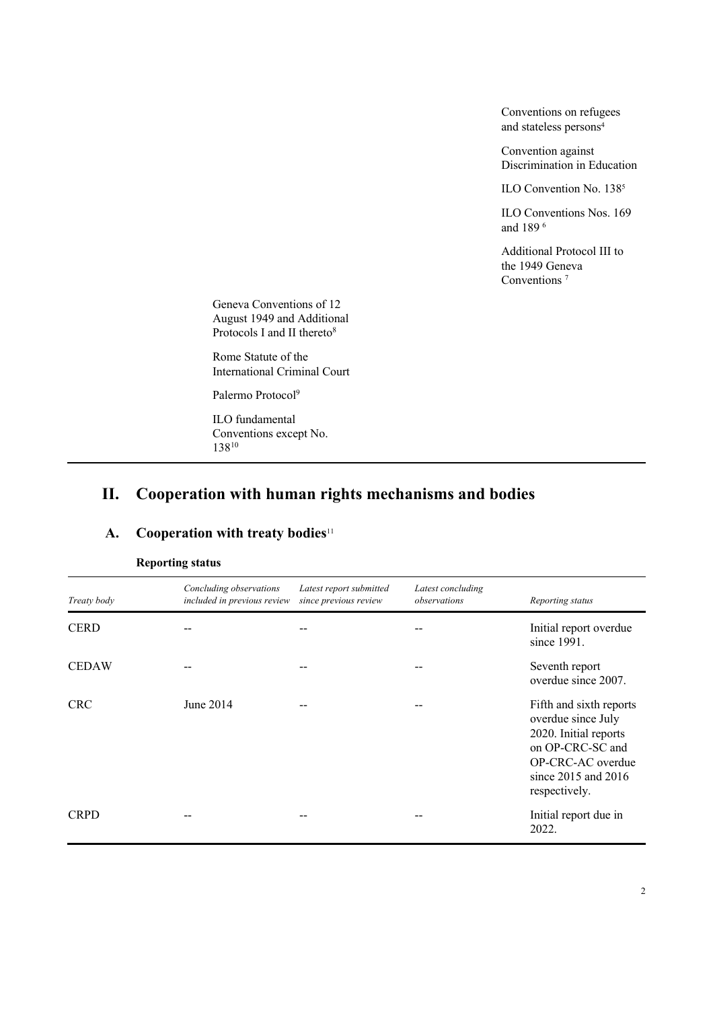Conventions on refugees and stateless persons<sup>4</sup>

Convention against Discrimination in Education

ILO Convention No. 138<sup>5</sup>

ILO Conventions Nos. 169 and 189 6

Additional Protocol III to the 1949 Geneva Conventions<sup>7</sup>

Geneva Conventions of 12 August 1949 and Additional Protocols I and II thereto<sup>8</sup>

Rome Statute of the International Criminal Court

Palermo Protocol<sup>9</sup>

ILO fundamental Conventions except No. 13810

## **II. Cooperation with human rights mechanisms and bodies**

#### **A. Cooperation with treaty bodies**<sup>11</sup>

| Treaty body  | Concluding observations<br>included in previous review | Latest report submitted<br>since previous review | Latest concluding<br>observations | Reporting status                                                                                                                                            |
|--------------|--------------------------------------------------------|--------------------------------------------------|-----------------------------------|-------------------------------------------------------------------------------------------------------------------------------------------------------------|
| <b>CERD</b>  |                                                        |                                                  |                                   | Initial report overdue<br>since 1991.                                                                                                                       |
| <b>CEDAW</b> |                                                        | --                                               | --                                | Seventh report<br>overdue since 2007.                                                                                                                       |
| <b>CRC</b>   | June 2014                                              |                                                  |                                   | Fifth and sixth reports<br>overdue since July<br>2020. Initial reports<br>on OP-CRC-SC and<br>OP-CRC-AC overdue<br>since $2015$ and $2016$<br>respectively. |
| <b>CRPD</b>  |                                                        |                                                  |                                   | Initial report due in<br>2022.                                                                                                                              |

#### **Reporting status**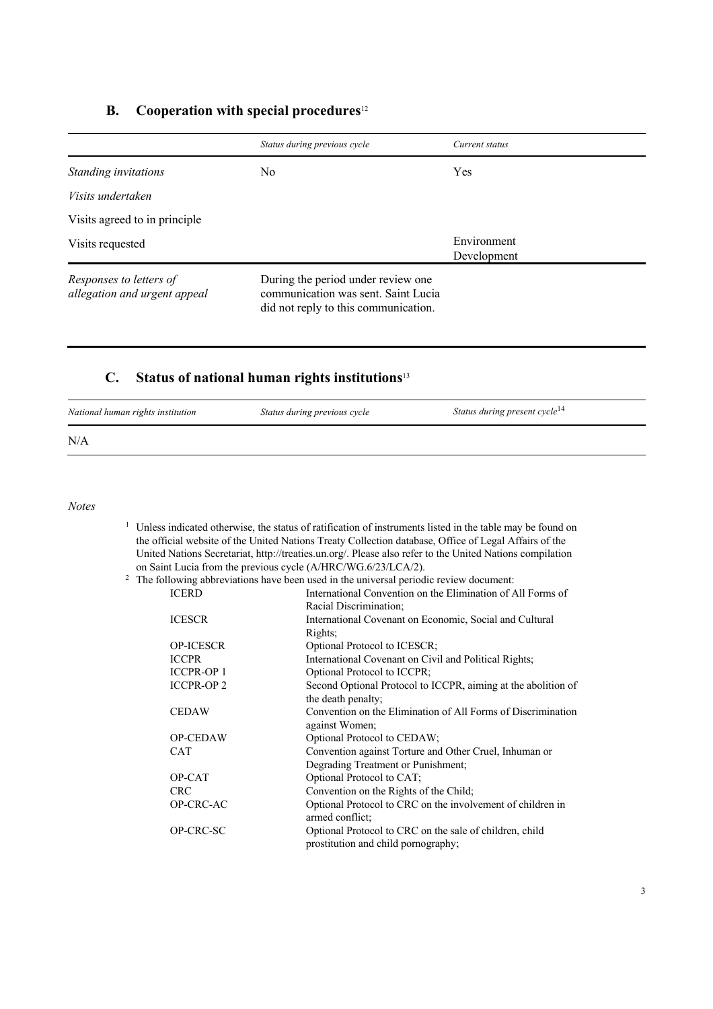#### **B. Cooperation with special procedures**<sup>12</sup>

|                                                         | Status during previous cycle                                                                                      | Current status             |
|---------------------------------------------------------|-------------------------------------------------------------------------------------------------------------------|----------------------------|
| Standing invitations                                    | No                                                                                                                | Yes                        |
| <i>Visits undertaken</i>                                |                                                                                                                   |                            |
| Visits agreed to in principle                           |                                                                                                                   |                            |
| Visits requested                                        |                                                                                                                   | Environment<br>Development |
| Responses to letters of<br>allegation and urgent appeal | During the period under review one<br>communication was sent. Saint Lucia<br>did not reply to this communication. |                            |

#### **C. Status of national human rights institutions**<sup>13</sup>

| National human rights institution | Status during previous cycle | Status during present cycle <sup>14</sup> |
|-----------------------------------|------------------------------|-------------------------------------------|
| N/A                               |                              |                                           |

*Notes*

<sup>1</sup> Unless indicated otherwise, the status of ratification of instruments listed in the table may be found on the official website of the United Nations Treaty Collection database, Office of Legal Affairs of the United Nations Secretariat, http://treaties.un.org/. Please also refer to the United Nations compilation on Saint Lucia from the previous cycle (A/HRC/WG.6/23/LCA/2).

|                  | The following abbreviations have been used in the universal periodic review document: |
|------------------|---------------------------------------------------------------------------------------|
| <b>ICERD</b>     | International Convention on the Elimination of All Forms of                           |
|                  | Racial Discrimination;                                                                |
| <b>ICESCR</b>    | International Covenant on Economic, Social and Cultural                               |
|                  | Rights;                                                                               |
| <b>OP-ICESCR</b> | Optional Protocol to ICESCR;                                                          |
| <b>ICCPR</b>     | International Covenant on Civil and Political Rights;                                 |
| <b>ICCPR-OP1</b> | Optional Protocol to ICCPR;                                                           |
| <b>ICCPR-OP2</b> | Second Optional Protocol to ICCPR, aiming at the abolition of                         |
|                  | the death penalty;                                                                    |
| <b>CEDAW</b>     | Convention on the Elimination of All Forms of Discrimination                          |
|                  | against Women;                                                                        |
| <b>OP-CEDAW</b>  | Optional Protocol to CEDAW;                                                           |
| <b>CAT</b>       | Convention against Torture and Other Cruel, Inhuman or                                |
|                  | Degrading Treatment or Punishment;                                                    |
| OP-CAT           | Optional Protocol to CAT;                                                             |
| <b>CRC</b>       | Convention on the Rights of the Child;                                                |
| OP-CRC-AC        | Optional Protocol to CRC on the involvement of children in                            |
|                  | armed conflict;                                                                       |
| OP-CRC-SC        | Optional Protocol to CRC on the sale of children, child                               |
|                  | prostitution and child pornography;                                                   |
|                  |                                                                                       |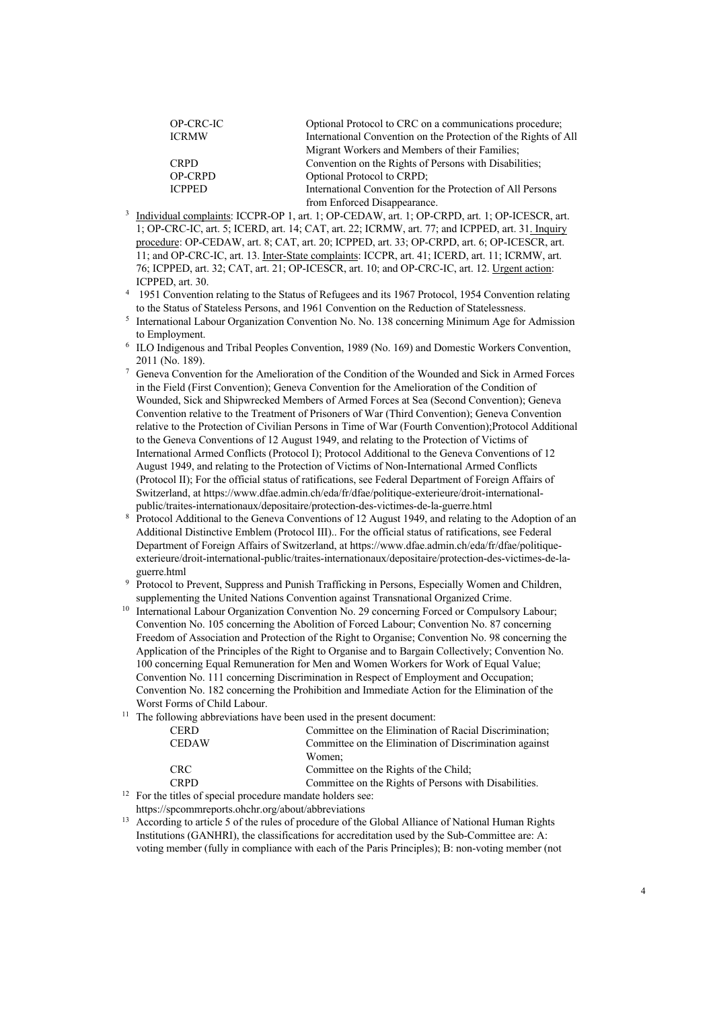| OP-CRC-IC      | Optional Protocol to CRC on a communications procedure;         |  |
|----------------|-----------------------------------------------------------------|--|
| <b>ICRMW</b>   | International Convention on the Protection of the Rights of All |  |
|                | Migrant Workers and Members of their Families;                  |  |
| <b>CRPD</b>    | Convention on the Rights of Persons with Disabilities;          |  |
| <b>OP-CRPD</b> | Optional Protocol to CRPD;                                      |  |
| <b>ICPPED</b>  | International Convention for the Protection of All Persons      |  |
|                | from Enforced Disappearance.                                    |  |

- <sup>3</sup> Individual complaints: ICCPR-OP 1, art. 1; OP-CEDAW, art. 1; OP-CRPD, art. 1; OP-ICESCR, art. 1; OP-CRC-IC, art. 5; ICERD, art. 14; CAT, art. 22; ICRMW, art. 77; and ICPPED, art. 31. Inquiry procedure: OP-CEDAW, art. 8; CAT, art. 20; ICPPED, art. 33; OP-CRPD, art. 6; OP-ICESCR, art. 11; and OP-CRC-IC, art. 13. Inter-State complaints: ICCPR, art. 41; ICERD, art. 11; ICRMW, art. 76; ICPPED, art. 32; CAT, art. 21; OP-ICESCR, art. 10; and OP-CRC-IC, art. 12. Urgent action: ICPPED, art. 30.
- <sup>4</sup> 1951 Convention relating to the Status of Refugees and its 1967 Protocol, 1954 Convention relating to the Status of Stateless Persons, and 1961 Convention on the Reduction of Statelessness.
- <sup>5</sup> International Labour Organization Convention No. No. 138 concerning Minimum Age for Admission to Employment.
- <sup>6</sup> ILO Indigenous and Tribal Peoples Convention, 1989 (No. 169) and Domestic Workers Convention, 2011 (No. 189).
- <sup>7</sup> Geneva Convention for the Amelioration of the Condition of the Wounded and Sick in Armed Forces in the Field (First Convention); Geneva Convention for the Amelioration of the Condition of Wounded, Sick and Shipwrecked Members of Armed Forces at Sea (Second Convention); Geneva Convention relative to the Treatment of Prisoners of War (Third Convention); Geneva Convention relative to the Protection of Civilian Persons in Time of War (Fourth Convention);Protocol Additional to the Geneva Conventions of 12 August 1949, and relating to the Protection of Victims of International Armed Conflicts (Protocol I); Protocol Additional to the Geneva Conventions of 12 August 1949, and relating to the Protection of Victims of Non-International Armed Conflicts (Protocol II); For the official status of ratifications, see Federal Department of Foreign Affairs of Switzerland, at https://www.dfae.admin.ch/eda/fr/dfae/politique-exterieure/droit-internationalpublic/traites-internationaux/depositaire/protection-des-victimes-de-la-guerre.html
- <sup>8</sup> Protocol Additional to the Geneva Conventions of 12 August 1949, and relating to the Adoption of an Additional Distinctive Emblem (Protocol III).. For the official status of ratifications, see Federal Department of Foreign Affairs of Switzerland, at https://www.dfae.admin.ch/eda/fr/dfae/politiqueexterieure/droit-international-public/traites-internationaux/depositaire/protection-des-victimes-de-laguerre.html
- <sup>9</sup> Protocol to Prevent, Suppress and Punish Trafficking in Persons, Especially Women and Children, supplementing the United Nations Convention against Transnational Organized Crime.
- International Labour Organization Convention No. 29 concerning Forced or Compulsory Labour; Convention No. 105 concerning the Abolition of Forced Labour; Convention No. 87 concerning Freedom of Association and Protection of the Right to Organise; Convention No. 98 concerning the Application of the Principles of the Right to Organise and to Bargain Collectively; Convention No. 100 concerning Equal Remuneration for Men and Women Workers for Work of Equal Value; Convention No. 111 concerning Discrimination in Respect of Employment and Occupation; Convention No. 182 concerning the Prohibition and Immediate Action for the Elimination of the Worst Forms of Child Labour.
- $11$  The following abbreviations have been used in the present document:

| <b>CERD</b>  | Committee on the Elimination of Racial Discrimination: |
|--------------|--------------------------------------------------------|
| <b>CEDAW</b> | Committee on the Elimination of Discrimination against |
|              | Women:                                                 |
| CRC.         | Committee on the Rights of the Child;                  |
| <b>CRPD</b>  | Committee on the Rights of Persons with Disabilities.  |

<sup>12</sup> For the titles of special procedure mandate holders see: https://spcommreports.ohchr.org/about/abbreviations

<sup>13</sup> According to article 5 of the rules of procedure of the Global Alliance of National Human Rights Institutions (GANHRI), the classifications for accreditation used by the Sub-Committee are: A: voting member (fully in compliance with each of the Paris Principles); B: non-voting member (not